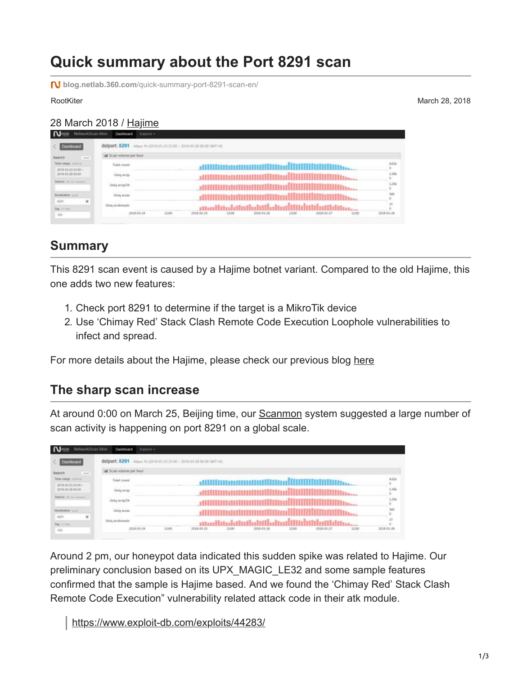# **Quick summary about the Port 8291 scan**

**blog.netlab.360.com**[/quick-summary-port-8291-scan-en/](https://blog.netlab.360.com/quick-summary-port-8291-scan-en/)

RootKiter March 28, 2018

#### 28 March 2018 / [Hajime](https://blog.netlab.360.com/tag/hajime/)

| Dashboard                                              | dstport: 8291<br>4 Mays 1h (2018-05-23 23:00 ~ 2019-05-28 00:00 GMT+R)                |      |            |      |                            |       |            |       |                      |  |  |
|--------------------------------------------------------|---------------------------------------------------------------------------------------|------|------------|------|----------------------------|-------|------------|-------|----------------------|--|--|
| $\frac{1}{2}$<br>Search                                | M Scan volume per hour                                                                |      |            |      |                            |       |            |       |                      |  |  |
| <b>TOTAL FAMILIE</b> , constitute<br>3919-03-2123-00 - | Total room                                                                            |      |            |      |                            |       |            |       | ARTS.                |  |  |
| 2018/05/20 10:00                                       | Lining weeks                                                                          |      |            |      |                            |       |            |       | 1.344                |  |  |
| DESTR 20, 14 September                                 | Units analysist                                                                       |      |            |      | <b>PEARLANDERSSTEINERS</b> |       |            |       | 1.378                |  |  |
| Destination (such)                                     | Uniq ercas                                                                            |      |            |      |                            |       |            |       | M                    |  |  |
| ×<br>8291<br>The control                               | dischialation belief belief titul of the final particles.<br><b>Unite prodomation</b> |      |            |      |                            |       |            |       | $\mathbb{R}^n$<br>×. |  |  |
| $+108$                                                 | 2018-06-24                                                                            | 1300 | 2018-03-25 | 1200 | 2018-03-26                 | 12:00 | 2018-03-27 | 12.00 | 2018-03-28<br>,,,,,, |  |  |

#### **Summary**

This 8291 scan event is caused by a Hajime botnet variant. Compared to the old Hajime, this one adds two new features:

- 1. Check port 8291 to determine if the target is a MikroTik device
- 2. Use 'Chimay Red' Stack Clash Remote Code Execution Loophole vulnerabilities to infect and spread.

For more details about the Hajime, please check our previous blog [here](https://blog.netlab.360.com/hajime-status-report-en/)

#### **The sharp scan increase**

At around 0:00 on March 25, Beijing time, our **Scanmon** system suggested a large number of scan activity is happening on port 8291 on a global scale.

| Dashboard                                            | dstport: 8291<br>4 (avs. Th. (2019-03-23 21:00 - 2019-03-28:00:00 GMT+B) |                                                                                                                                                                                                                                |                |  |  |  |  |  |
|------------------------------------------------------|--------------------------------------------------------------------------|--------------------------------------------------------------------------------------------------------------------------------------------------------------------------------------------------------------------------------|----------------|--|--|--|--|--|
| $\frac{1}{2}$<br>Search                              | all Scan volume per hour                                                 |                                                                                                                                                                                                                                |                |  |  |  |  |  |
| <b>STAR FAMILIA, constitute</b><br>2919-03-2123-00 - | Total room                                                               |                                                                                                                                                                                                                                | ARTS.          |  |  |  |  |  |
| 0018-05-20 10:00                                     | <b>Lining writer</b>                                                     | \XXXXXXXXXXXXXXXXXXXXXXXXXXXX                                                                                                                                                                                                  | 1.364          |  |  |  |  |  |
| DESTA 27. 15 September                               | Units analysist                                                          |                                                                                                                                                                                                                                | 1.378          |  |  |  |  |  |
| Destination (Lock)                                   | <b>Uniq</b> erese                                                        |                                                                                                                                                                                                                                | ă.             |  |  |  |  |  |
| $\times$<br>8291<br>The cross                        | <b>Etaly</b> prodomatis                                                  | and the best of the following the film of the film of the film of the second the second state of the second states of the second states of the second states of the second states of the second states of the second states of | $\mathbb{R}^n$ |  |  |  |  |  |
| 108                                                  | 2018-06-24                                                               | 12.00<br>13.00<br>2018-03-25<br>1200<br>2018-01-26<br>2018-03-27<br>12:00                                                                                                                                                      | 2018-03-28     |  |  |  |  |  |

Around 2 pm, our honeypot data indicated this sudden spike was related to Hajime. Our preliminary conclusion based on its UPX\_MAGIC\_LE32 and some sample features confirmed that the sample is Hajime based. And we found the 'Chimay Red' Stack Clash Remote Code Execution" vulnerability related attack code in their atk module.

<https://www.exploit-db.com/exploits/44283/>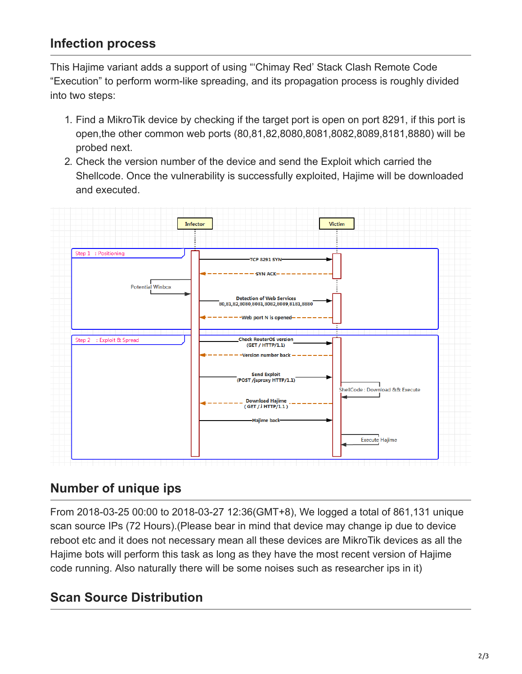### **Infection process**

This Hajime variant adds a support of using "'Chimay Red' Stack Clash Remote Code "Execution" to perform worm-like spreading, and its propagation process is roughly divided into two steps:

- 1. Find a MikroTik device by checking if the target port is open on port 8291, if this port is open,the other common web ports (80,81,82,8080,8081,8082,8089,8181,8880) will be probed next.
- 2. Check the version number of the device and send the Exploit which carried the Shellcode. Once the vulnerability is successfully exploited, Hajime will be downloaded and executed.



## **Number of unique ips**

From 2018-03-25 00:00 to 2018-03-27 12:36(GMT+8), We logged a total of 861,131 unique scan source IPs (72 Hours).(Please bear in mind that device may change ip due to device reboot etc and it does not necessary mean all these devices are MikroTik devices as all the Hajime bots will perform this task as long as they have the most recent version of Hajime code running. Also naturally there will be some noises such as researcher ips in it)

## **Scan Source Distribution**